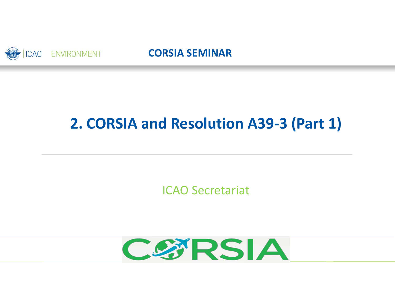

### **CORSIA SEMINAR**

## **2. CORSIA and Resolution A39‐3 (Part 1)**

ICAO Secretariat

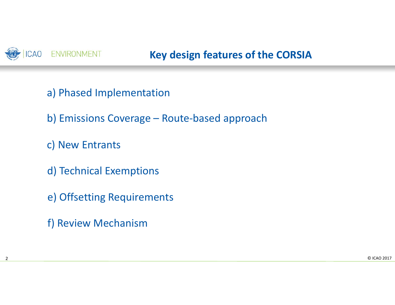

- a) Phased Implementation
- b) Emissions Coverage Route‐based approach
- c) New Entrants
- d) Technical Exemptions
- e) Offsetting Requirements
- f) Review Mechanism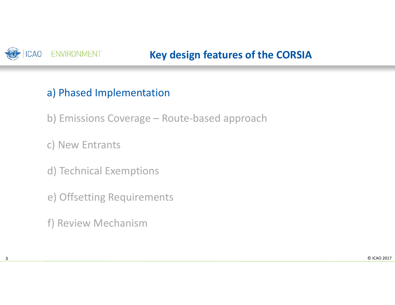

## a) Phased Implementation

b) Emissions Coverage – Route‐based approach

c) New Entrants

- d) Technical Exemptions
- e) Offsetting Requirements

f) Review Mechanism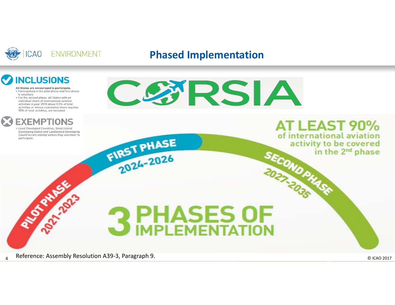

### **Phased Implementation**

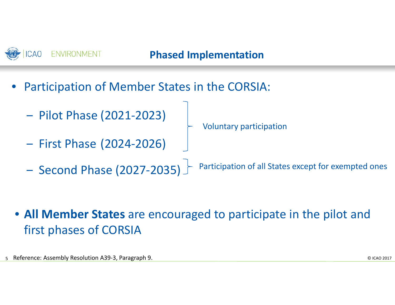## **Phased Implementation**

- • Participation of Member States in the CORSIA:
	- Pilot Phase (2021‐2023)
	- ‒First Phase (2024‐2026)
- Voluntary participation
- ‒ Second Phase (2027‐2035) Participation of all States except for exempted ones

• **All Member States** are encouraged to participate in the pilot and first phases of CORSIA

5 © ICAO 2017 Reference: Assembly Resolution A39‐3, Paragraph 9.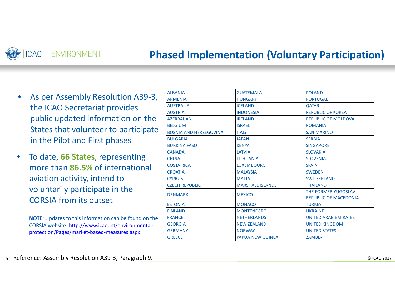#### CAO **ENVIRONMENT**

## **Phased Implementation (Voluntary Participation)**

- $\bullet$ ● As per Assembly Resolution A39-3, the ICAO Secretariat provides public updated information on the States that volunteer to participate in the Pilot and First phases
- $\bullet$  To date, **66 States**, representing more than **86.5%** of international aviation activity, intend to voluntarily participate in the CORSIA from its outset

**NOTE**: Updates to this information can be found on the CORSIA website: <u>http://www.icao.int/environmental-</u> protection/Pages/market‐based‐measures.aspx

| <b>ALBANIA</b>                | <b>GUATEMALA</b>                    | <b>POLAND</b>                                       |
|-------------------------------|-------------------------------------|-----------------------------------------------------|
| <b>ARMENIA</b>                | <b>PORTUGAL</b><br><b>HUNGARY</b>   |                                                     |
| <b>AUSTRALIA</b>              | <b>ICELAND</b>                      | <b>QATAR</b>                                        |
| <b>AUSTRIA</b>                | <b>INDONESIA</b>                    | <b>REPUBLIC OF KOREA</b>                            |
| <b>AZERBAIJAN</b>             | <b>IRELAND</b>                      | <b>REPUBLIC OF MOLDOVA</b>                          |
| <b>BELGIUM</b>                | <b>ISRAEL</b>                       | <b>ROMANIA</b>                                      |
| <b>BOSNIA AND HERZEGOVINA</b> | <b>ITALY</b>                        | <b>SAN MARINO</b>                                   |
| <b>BULGARIA</b>               | <b>JAPAN</b>                        | <b>SERBIA</b>                                       |
| <b>BURKINA FASO</b>           | <b>KENYA</b>                        | <b>SINGAPORE</b>                                    |
| <b>CANADA</b>                 | LATVIA                              | <b>SLOVAKIA</b>                                     |
| <b>CHINA</b>                  | <b>LITHUANIA</b>                    | <b>SLOVENIA</b>                                     |
| <b>COSTA RICA</b>             | <b>LUXEMBOURG</b>                   | <b>SPAIN</b>                                        |
| <b>CROATIA</b>                | <b>MALAYSIA</b>                     | <b>SWEDEN</b>                                       |
| <b>CYPRUS</b>                 | <b>MALTA</b>                        | <b>SWITZERLAND</b>                                  |
| <b>CZECH REPUBLIC</b>         | <b>MARSHALL ISLANDS</b>             | <b>THAILAND</b>                                     |
| <b>DENMARK</b>                | <b>MEXICO</b>                       | THE FORMER YUGOSLAV<br><b>REPUBLIC OF MACEDONIA</b> |
| <b>ESTONIA</b>                | <b>MONACO</b>                       | <b>TURKEY</b>                                       |
| <b>FINLAND</b>                | <b>MONTENEGRO</b><br><b>UKRAINE</b> |                                                     |
| <b>FRANCE</b>                 | <b>NETHERLANDS</b>                  | <b>UNITED ARAB EMIRATES</b>                         |
| <b>GEORGIA</b>                | <b>NEW ZEALAND</b>                  | <b>UNITED KINGDOM</b>                               |
| <b>GERMANY</b>                | <b>NORWAY</b>                       | <b>UNITED STATES</b>                                |
| <b>GREECE</b>                 | <b>PAPUA NEW GUINEA</b>             | <b>ZAMBIA</b>                                       |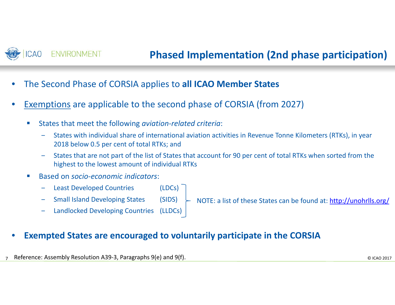

- •The Second Phase of CORSIA applies to **all ICAO Member States**
- • Exemptions are applicable to the second phase of CORSIA (from 2027)
	- П ■ States that meet the following *aviation-related criteria*:
		- States with individual share of international aviation activities in Revenue Tonne Kilometers (RTKs), in year 2018 below 0.5 per cent of total RTKs; and
		- ‒ States that are not part of the list of States that account for 90 per cent of total RTKs when sorted from the highest to the lowest amount of individual RTKs
	- $\mathbb{R}^n$ ■ Based on *socio-economic indicators*:
		- Least Developed Countries (LDCs)
		- Small Island Developing States (SIDS)

NOTE: a list of these States can be found at: http://unohrlls.org/

Landlocked Developing Countries (LLDCs)

#### $\bullet$ **Exempted States are encouraged to voluntarily participate in the CORSIA**

7© ICAO 2017 Reference: Assembly Resolution A39‐3, Paragraphs 9(e) and 9(f).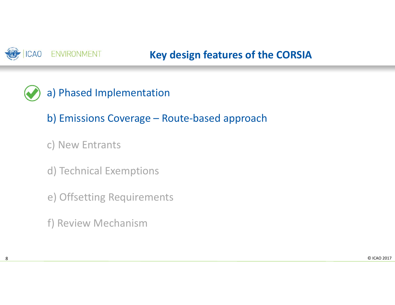

- a) Phased Implementation
	- b) Emissions Coverage Route‐based approach
	- c) New Entrants
	- d) Technical Exemptions
	- e) Offsetting Requirements
	- f) Review Mechanism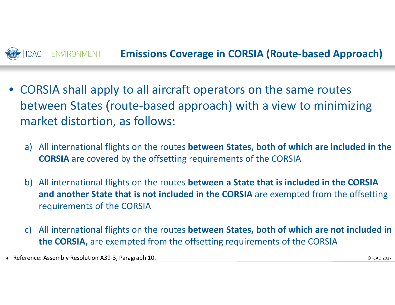

- • CORSIA shall apply to all aircraft operators on the same routes between States (route‐based approach) with <sup>a</sup> view to minimizing market distortion, as follows:
	- a) All international flights on the routes **between States, both of which are included in the CORSIA** are covered by the offsetting requirements of the CORSIA
	- b) All international flights on the routes **between <sup>a</sup> State that is included in the CORSIA and another State that is not included in the CORSIA** are exempted from the offsetting requirements of the CORSIA
	- c) All international flights on the routes **between States, both of which are not included in the CORSIA,** are exempted from the offsetting requirements of the CORSIA

9 © ICAO 2017 Reference: Assembly Resolution A39‐3, Paragraph 10.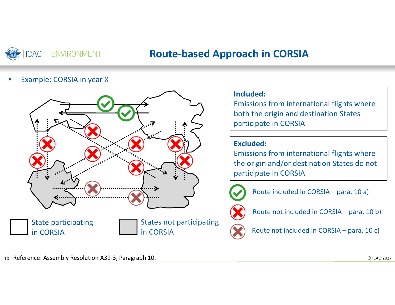

## **Route‐based Approach in CORSIA**

•Example: CORSIA in year X



#### **Included:**

Emissions from international flights where both the origin and destination States participate in CORSIA

#### **Excluded:**

Emissions from international flights where the origin and/or destination States do not participate in CORSIA



Route included in CORSIA – para. 10 a)



Route not included in CORSIA – para. 10 b)



Route not included in CORSIA – para. <sup>10</sup> c)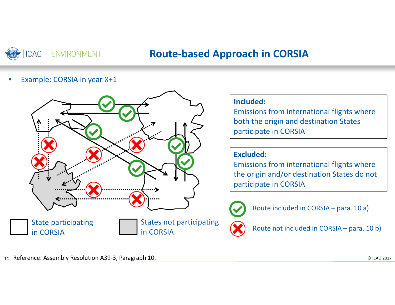

## **Route‐based Approach in CORSIA**

•Example: CORSIA in year X+1



#### **Included:**

Emissions from international flights where both the origin and destination States participate in CORSIA

#### **Excluded:**

Emissions from international flights where the origin and/or destination States do not participate in CORSIA



Route included in CORSIA – para. 10 a)



Route not included in CORSIA – para. 10 b)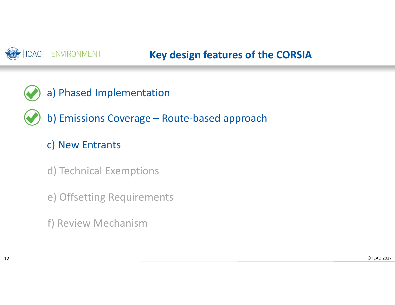

- a) Phased Implementation
	- b) Emissions Coverage Route‐based approach

## c) New Entrants

- d) Technical Exemptions
- e) Offsetting Requirements
- f) Review Mechanism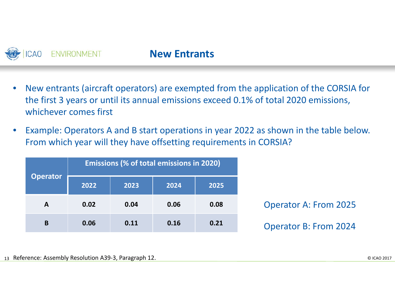

- $\bullet$  New entrants (aircraft operators) are exempted from the application of the CORSIA for the first 3 years or until its annual emissions exceed 0.1% of total 2020 emissions, whichever comes first
- $\bullet$  Example: Operators A and B start operations in year 2022 as shown in the table below. From which year will they have offsetting requirements in CORSIA?

|                 | <b>Emissions (% of total emissions in 2020)</b> |      |              |      |
|-----------------|-------------------------------------------------|------|--------------|------|
| <b>Operator</b> | 2022                                            | 2023 | 2025<br>2024 |      |
| $\mathbf{A}$    | 0.02                                            | 0.04 | 0.06         | 0.08 |
| B               | 0.06                                            | 0.11 | 0.16         | 0.21 |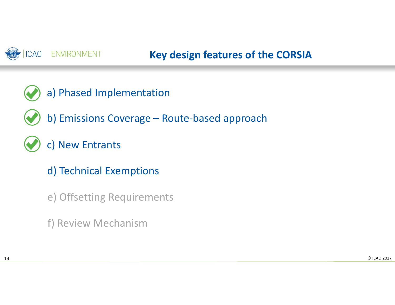

- a) Phased Implementation
	- b) Emissions Coverage Route‐based approach
	- c) New Entrants
		- d) Technical Exemptions
		- e) Offsetting Requirements
		- f) Review Mechanism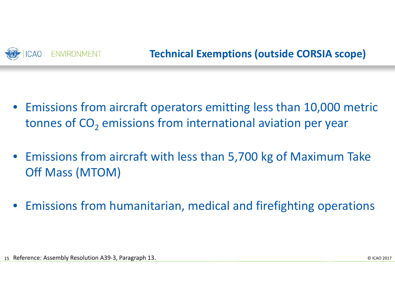

- • Emissions from aircraft operators emitting less than 10,000 metric tonnes of CO<sub>2</sub> emissions from international aviation per year
- Emissions from aircraft with less than 5,700 kg of Maximum Take Off Mass (MTOM)
- •Emissions from humanitarian, medical and firefighting operations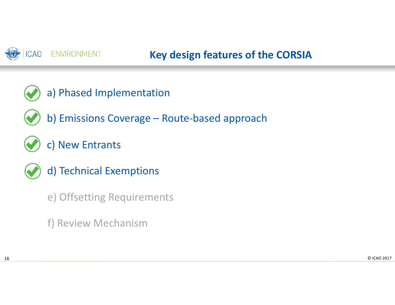

- a) Phased Implementation
- b) Emissions Coverage Route‐based approach
- c) New Entrants
- 
- d) Technical Exemptions
- e) Offsetting Requirements
- f) Review Mechanism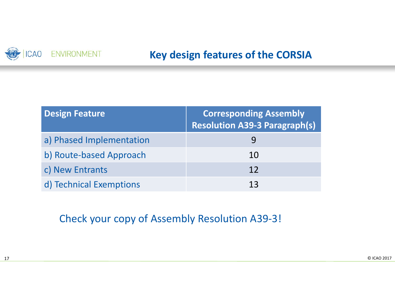

| <b>Design Feature</b>    | <b>Corresponding Assembly</b><br><b>Resolution A39-3 Paragraph(s)</b> |
|--------------------------|-----------------------------------------------------------------------|
| a) Phased Implementation |                                                                       |
| b) Route-based Approach  | 10                                                                    |
| c) New Entrants          | 12                                                                    |
| d) Technical Exemptions  | 13                                                                    |

### Check your copy of Assembly Resolution A39‐3!

17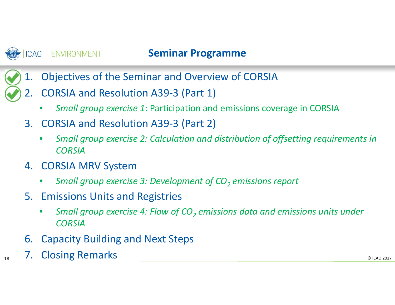

18

**ENVIRONMENT** 

## **Seminar Programme**

- 1. Objectives of the Seminar and Overview of CORSIA
	- 2. CORSIA and Resolution A39‐3 (Part 1)
		- $\bullet$ *Small group exercise 1*: Participation and emissions coverage in CORSIA
	- 3. CORSIA and Resolution A39‐3 (Part 2)
		- • *Small group exercise 2: Calculation and distribution of offsetting requirements in CORSIA*
	- 4. CORSIA MRV System
		- $\bullet$ *Small group exercise 3: Development of CO2 emissions report*
	- 5. Emissions Units and Registries
		- • *Small group exercise 4: Flow of CO2 emissions data and emissions units under CORSIA*
	- 6. Capacity Building and Next Steps
- 8 T. Closing Remarks and the contract of the contract of the contract of the contract of the contract of the contract of the contract of the contract of the contract of the contract of the contract of the contract of the c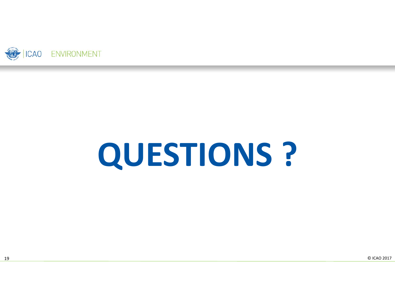

# **QUESTIONS ?**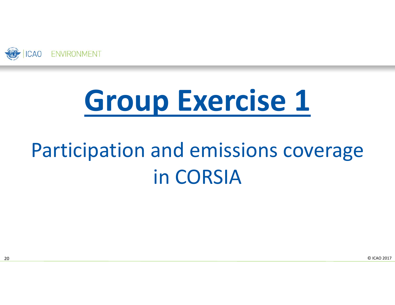

## **Group Exercise 1**

## Participation and emissions coverage in CORSIA